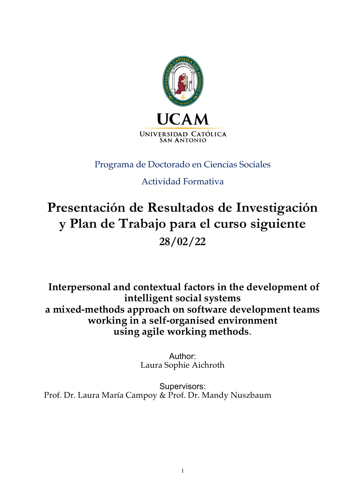

# Programa de Doctorado en Ciencias Sociales

# Actividad Formativa

# **Presentación de Resultados de Investigación y Plan de Trabajo para el curso siguiente 28/02/22**

**Interpersonal and contextual factors in the development of intelligent social systems a mixed-methods approach on software development teams working in a self-organised environment using agile working methods**.

> Author: Laura Sophie Aichroth

Supervisors: Prof. Dr. Laura María Campoy & Prof. Dr. Mandy Nuszbaum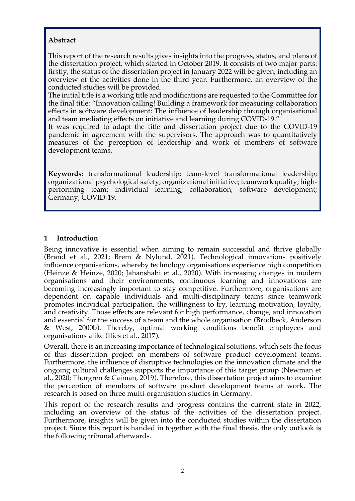# **Abstract**

This report of the research results gives insights into the progress, status, and plans of the dissertation project, which started in October 2019. It consists of two major parts: firstly, the status of the dissertation project in January 2022 will be given, including an overview of the activities done in the third year. Furthermore, an overview of the conducted studies will be provided.

The initial title is a working title and modifications are requested to the Committee for the final title: "Innovation calling! Building a framework for measuring collaboration effects in software development: The influence of leadership through organisational and team mediating effects on initiative and learning during COVID-19."

It was required to adapt the title and dissertation project due to the COVID-19 pandemic in agreement with the supervisors. The approach was to quantitatively measures of the perception of leadership and work of members of software development teams.

**Keywords:** transformational leadership; team-level transformational leadership; organizational psychological safety; organizational initiative; teamwork quality; highperforming team; individual learning; collaboration, software development; Germany; COVID-19.

# **1 Introduction**

Being innovative is essential when aiming to remain successful and thrive globally (Brand et al., 2021; Brem & Nylund, 2021). Technological innovations positively influence organisations, whereby technology organisations experience high competition (Heinze & Heinze, 2020; Jahanshahi et al., 2020). With increasing changes in modern organisations and their environments, continuous learning and innovations are becoming increasingly important to stay competitive. Furthermore, organisations are dependent on capable individuals and multi-disciplinary teams since teamwork promotes individual participation, the willingness to try, learning motivation, loyalty, and creativity. Those effects are relevant for high performance, change, and innovation and essential for the success of a team and the whole organisation (Brodbeck, Anderson & West, 2000b). Thereby, optimal working conditions benefit employees and organisations alike (Ilies et al., 2017).

Overall, there is an increasing importance of technological solutions, which sets the focus of this dissertation project on members of software product development teams. Furthermore, the influence of disruptive technologies on the innovation climate and the ongoing cultural challenges supports the importance of this target group (Newman et al., 2020; Thorgren & Caiman, 2019). Therefore, this dissertation project aims to examine the perception of members of software product development teams at work. The research is based on three multi-organisation studies in Germany.

This report of the research results and progress contains the current state in 2022, including an overview of the status of the activities of the dissertation project. Furthermore, insights will be given into the conducted studies within the dissertation project. Since this report is handed in together with the final thesis, the only outlook is the following tribunal afterwards.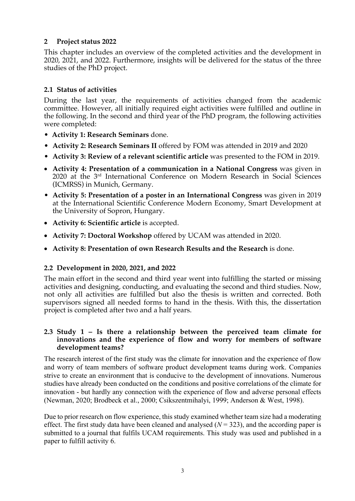# **2 Project status 2022**

This chapter includes an overview of the completed activities and the development in 2020, 2021, and 2022. Furthermore, insights will be delivered for the status of the three studies of the PhD project.

# **2.1 Status of activities**

During the last year, the requirements of activities changed from the academic committee. However, all initially required eight activities were fulfilled and outline in the following. In the second and third year of the PhD program, the following activities were completed:

- **Activity 1: Research Seminars** done.
- **Activity 2: Research Seminars II** offered by FOM was attended in 2019 and 2020
- **Activity 3: Review of a relevant scientific article** was presented to the FOM in 2019.
- **Activity 4: Presentation of a communication in a National Congress** was given in 2020 at the 3rd International Conference on Modern Research in Social Sciences (ICMRSS) in Munich, Germany.
- **Activity 5: Presentation of a poster in an International Congress** was given in 2019 at the International Scientific Conference Modern Economy, Smart Development at the University of Sopron, Hungary.
- **Activity 6: Scientific article** is accepted.
- **Activity 7: Doctoral Workshop** offered by UCAM was attended in 2020.
- **Activity 8: Presentation of own Research Results and the Research** is done.

## **2.2 Development in 2020, 2021, and 2022**

The main effort in the second and third year went into fulfilling the started or missing activities and designing, conducting, and evaluating the second and third studies. Now, not only all activities are fulfilled but also the thesis is written and corrected. Both supervisors signed all needed forms to hand in the thesis. With this, the dissertation project is completed after two and a half years.

#### **2.3 Study 1 – Is there a relationship between the perceived team climate for innovations and the experience of flow and worry for members of software development teams?**

The research interest of the first study was the climate for innovation and the experience of flow and worry of team members of software product development teams during work. Companies strive to create an environment that is conducive to the development of innovations. Numerous studies have already been conducted on the conditions and positive correlations of the climate for innovation - but hardly any connection with the experience of flow and adverse personal effects (Newman, 2020; Brodbeck et al., 2000; Csikszentmihalyi, 1999; Anderson & West, 1998).

Due to prior research on flow experience, this study examined whether team size had a moderating effect. The first study data have been cleaned and analysed  $(N = 323)$ , and the according paper is submitted to a journal that fulfils UCAM requirements. This study was used and published in a paper to fulfill activity 6.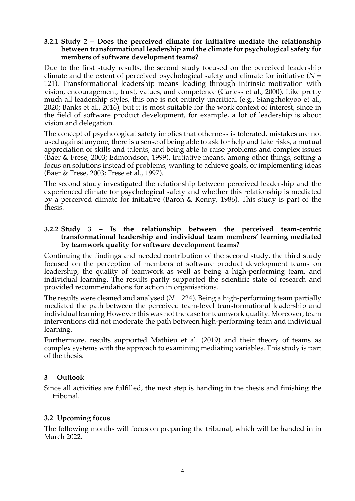#### **3.2.1 Study 2 – Does the perceived climate for initiative mediate the relationship between transformational leadership and the climate for psychological safety for members of software development teams?**

Due to the first study results, the second study focused on the perceived leadership climate and the extent of perceived psychological safety and climate for initiative  $(N =$ 121). Transformational leadership means leading through intrinsic motivation with vision, encouragement, trust, values, and competence (Carless et al., 2000). Like pretty much all leadership styles, this one is not entirely uncritical (e.g., Siangchokyoo et al., 2020; Banks et al., 2016), but it is most suitable for the work context of interest, since in the field of software product development, for example, a lot of leadership is about vision and delegation.

The concept of psychological safety implies that otherness is tolerated, mistakes are not used against anyone, there is a sense of being able to ask for help and take risks, a mutual appreciation of skills and talents, and being able to raise problems and complex issues (Baer & Frese, 2003; Edmondson, 1999). Initiative means, among other things, setting a focus on solutions instead of problems, wanting to achieve goals, or implementing ideas (Baer & Frese, 2003; Frese et al., 1997).

The second study investigated the relationship between perceived leadership and the experienced climate for psychological safety and whether this relationship is mediated by a perceived climate for initiative (Baron & Kenny, 1986). This study is part of the thesis.

#### **3.2.2 Study 3 – Is the relationship between the perceived team-centric transformational leadership and individual team members' learning mediated by teamwork quality for software development teams?**

Continuing the findings and needed contribution of the second study, the third study focused on the perception of members of software product development teams on leadership, the quality of teamwork as well as being a high-performing team, and individual learning. The results partly supported the scientific state of research and provided recommendations for action in organisations.

The results were cleaned and analysed  $(N = 224)$ . Being a high-performing team partially mediated the path between the perceived team-level transformational leadership and individual learning However this was not the case for teamwork quality. Moreover, team interventions did not moderate the path between high-performing team and individual learning.

Furthermore, results supported Mathieu et al. (2019) and their theory of teams as complex systems with the approach to examining mediating variables. This study is part of the thesis.

# **3 Outlook**

Since all activities are fulfilled, the next step is handing in the thesis and finishing the tribunal.

## **3.2 Upcoming focus**

The following months will focus on preparing the tribunal, which will be handed in in March 2022.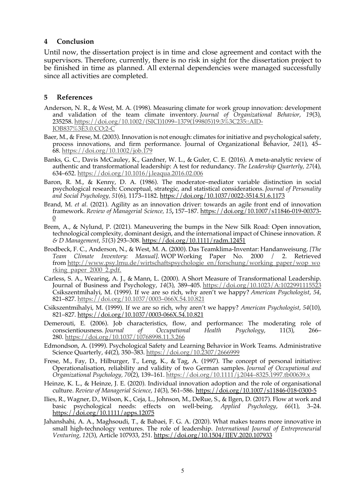#### **4 Conclusion**

Until now, the dissertation project is in time and close agreement and contact with the supervisors. Therefore, currently, there is no risk in sight for the dissertation project to be finished in time as planned. All external dependencies were managed successfully since all activities are completed.

#### **5 References**

- Anderson, N. R., & West, M. A. (1998). Measuring climate for work group innovation: development and validation of the team climate inventory. *Journal of Organizational Behavior*, *19*(3), 235258. https://doi.org/10.1002/(SICI)1099–1379(199805)19:3%3C235::AID-JOB837%3E3.0.CO;2-C
- Baer, M., & Frese, M. (2003). Innovation is not enough: climates for initiative and psychological safety, process innovations, and firm performance. Journal of Organizational Behavior, *24*(1), 45– 68. https://doi.org/10.1002/job.179
- Banks, G. C., Davis McCauley, K., Gardner, W. L., & Guler, C. E. (2016). A meta-analytic review of authentic and transformational leadership: A test for redundancy. *The Leadership Quarterly, 27*(4), 634–652. https://doi.org/10.1016/j.leaqua.2016.02.006
- Baron, R. M., & Kenny, D. A. (1986). The moderator–mediator variable distinction in social psychological research: Conceptual, strategic, and statistical considerations. *Journal of Personality and Social Psychology, 51*(6), 1173–1182. https://doi.org/10.1037/0022-3514.51.6.1173
- Brand, M. *et al.* (2021). Agility as an innovation driver: towards an agile front end of innovation framework. *Review of Managerial Science, 15***,** 157–187. https://doi.org/10.1007/s11846-019-00373- 0
- Brem, A., & Nylund, P. (2021). Maneuvering the bumps in the New Silk Road: Open innovation, technological complexity, dominant design, and the international impact of Chinese innovation. *R & D Management*, *51*(3) 293–308. https://doi.org/10.1111/radm.12451
- Brodbeck, F. C., Anderson, N., & West, M. A. (2000). Das Teamklima-Inventar: Handanweisung. *[The Team Climate Inventory: Manual]*. WOP Working Paper No. 2000 / 2. Retrieved from http://www.psy.lmu.de/wirtschaftspsychologie\_en/forschung/working\_paper/wop\_wo rking\_paper\_2000\_2.pdf.
- Carless, S. A., Wearing, A. J., & Mann, L. (2000). A Short Measure of Transformational Leadership. Journal of Business and Psychology, *14*(3), 389–405. https://doi.org/10.1023/A:1022991115523 Csikszentmihalyi, M. (1999). If we are so rich, why aren't we happy? *American Psychologist*, *54*, 821–827. https://doi.org/10.1037/0003–066X.54.10.821
- Csikszentmihalyi, M. (1999). If we are so rich, why aren't we happy? *American Psychologist*, *54*(10), 821–827. https://doi.org/10.1037/0003-066X.54.10.821
- Demerouti, E. (2006). Job characteristics, flow, and performance: The moderating role of conscientiousness. *Journal of Occupational Health Psychology*, 11(3), 266– 280. https://doi.org/10.1037/10768998.11.3.266
- Edmondson, A. (1999). Psychological Safety and Learning Behavior in Work Teams. Administrative Science Quarterly, *44*(2), 350–383. https://doi.org/10.2307/2666999
- Frese, M., Fay, D., Hilburger, T., Leng, K., & Tag, A. (1997). The concept of personal initiative: Operationalisation, reliability and validity of two German samples. *Journal of Occupational and Organizational Psychology, 70*(2), 139–161. https://doi.org/10.1111/j.2044–8325.1997.tb00639.x
- Heinze, K. L., & Heinze, J. E. (2020). Individual innovation adoption and the role of organisational culture. *Review of Managerial Science*, *14*(3), 561–586. https://doi.org/10.1007/s11846-018-0300-5
- Ilies, R., Wagner, D., Wilson, K., Ceja, L., Johnson, M., DeRue, S., & Ilgen, D. (2017). Flow at work and basic psychological needs: effects on well-being. *Applied Psychology*, *66*(1), 3–24. https://doi.org/10.1111/apps.12075
- Jahanshahi, A. A., Maghsoudi, T., & Babaei, F. G. A. (2020). What makes teams more innovative in small high-technology ventures. The role of leadership. *International Journal of Entrepreneurial Venturing, 12*(3), Article 107933, 251. https://doi.org/10.1504/IJEV.2020.107933